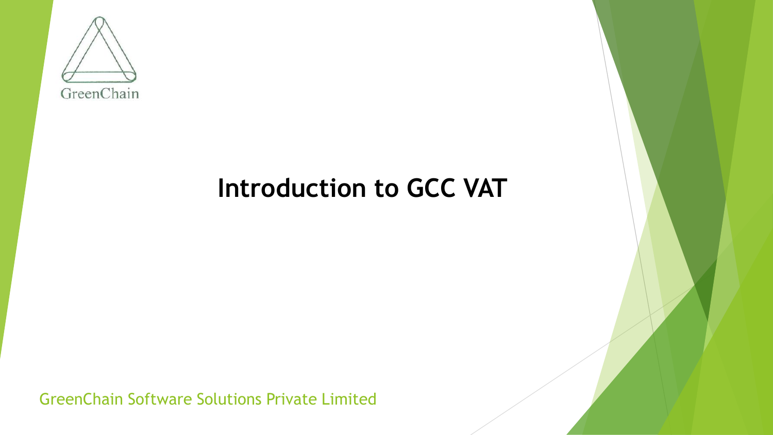

## **Introduction to GCC VAT**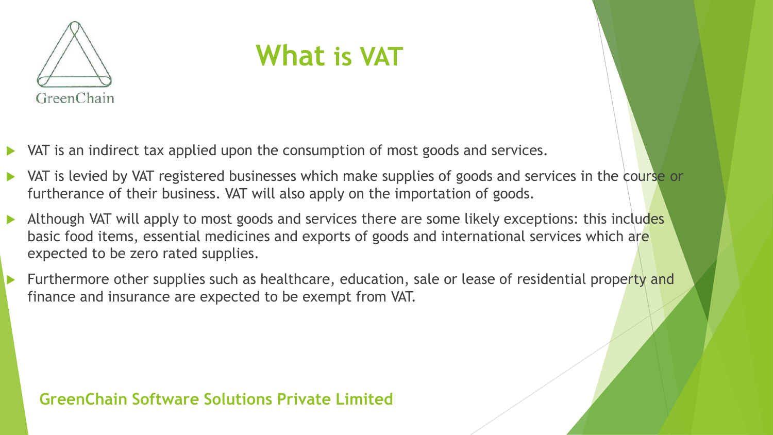

## **What is VAT**

- VAT is an indirect tax applied upon the consumption of most goods and services.
- VAT is levied by VAT registered businesses which make supplies of goods and services in the course or furtherance of their business. VAT will also apply on the importation of goods.
- Although VAT will apply to most goods and services there are some likely exceptions: this includes basic food items, essential medicines and exports of goods and international services which are expected to be zero rated supplies.
- Furthermore other supplies such as healthcare, education, sale or lease of residential property and finance and insurance are expected to be exempt from VAT.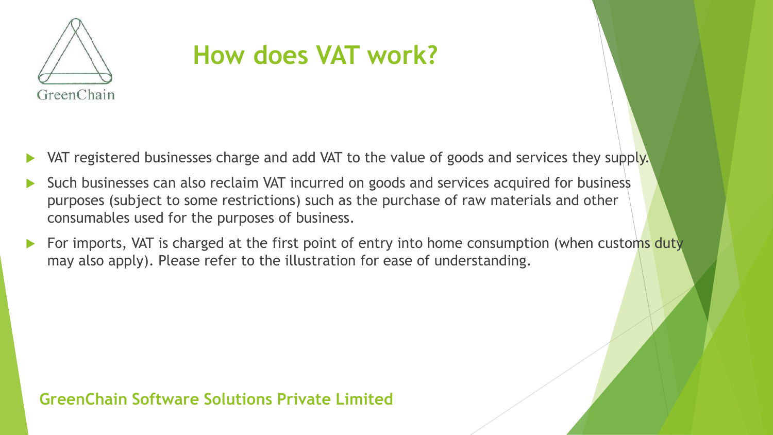

## **How does VAT work?**

- VAT registered businesses charge and add VAT to the value of goods and services they supply.
- Such businesses can also reclaim VAT incurred on goods and services acquired for business purposes (subject to some restrictions) such as the purchase of raw materials and other consumables used for the purposes of business.
- For imports, VAT is charged at the first point of entry into home consumption (when customs duty may also apply). Please refer to the illustration for ease of understanding.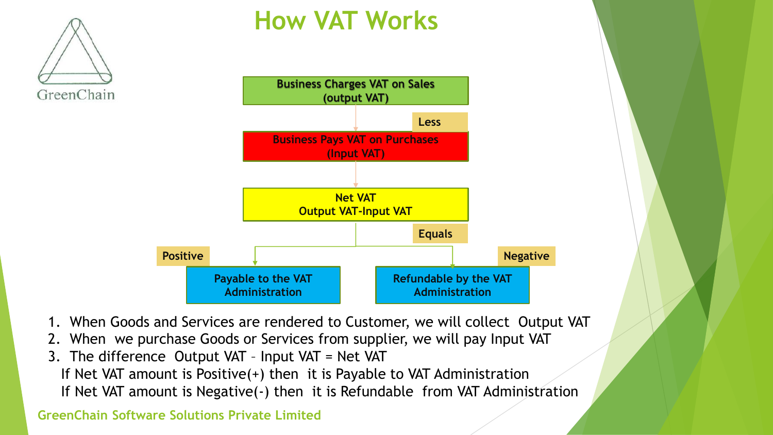

### **How VAT Works**



- 1. When Goods and Services are rendered to Customer, we will collect Output VAT
- 2. When we purchase Goods or Services from supplier, we will pay Input VAT
- 3. The difference Output VAT Input VAT = Net VAT
	- If Net VAT amount is Positive(+) then it is Payable to VAT Administration
	- If Net VAT amount is Negative(-) then it is Refundable from VAT Administration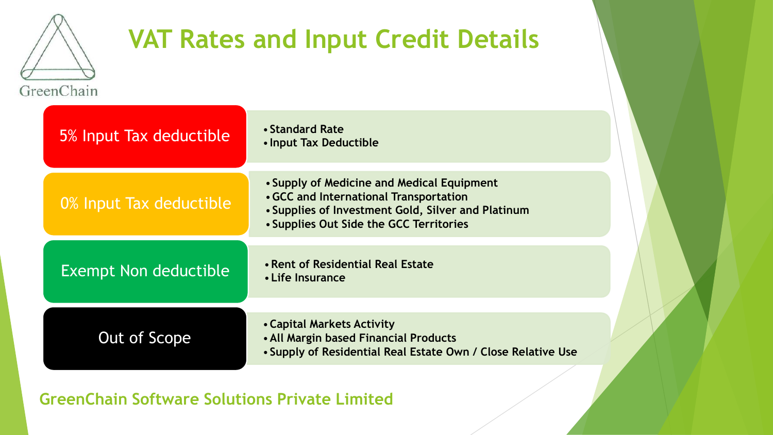

## **VAT Rates and Input Credit Details**

| 5% Input Tax deductible      | • Standard Rate<br>• Input Tax Deductible                                                                                                                                             |
|------------------------------|---------------------------------------------------------------------------------------------------------------------------------------------------------------------------------------|
| 0% Input Tax deductible      | • Supply of Medicine and Medical Equipment<br>• GCC and International Transportation<br>• Supplies of Investment Gold, Silver and Platinum<br>• Supplies Out Side the GCC Territories |
| <b>Exempt Non deductible</b> | • Rent of Residential Real Estate<br>• Life Insurance                                                                                                                                 |
| Out of Scope                 | • Capital Markets Activity<br>• All Margin based Financial Products<br>• Supply of Residential Real Estate Own / Close Relative Use                                                   |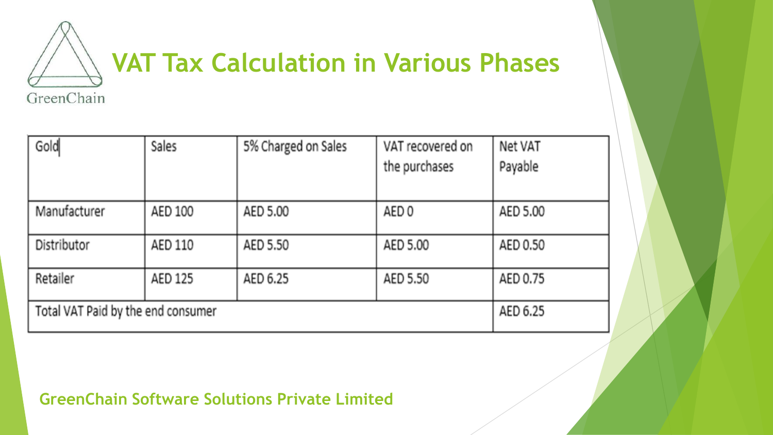

| Gold                               | Sales    | 5% Charged on Sales | VAT recovered on | Net VAT  |
|------------------------------------|----------|---------------------|------------------|----------|
|                                    |          |                     | the purchases    | Payable  |
|                                    |          |                     |                  |          |
| Manufacturer                       | AED 100  | AED 5.00            | AED 0            | AED 5.00 |
|                                    |          |                     |                  |          |
| Distributor                        | AED 110  | AED 5.50            | AED 5.00         | AED 0.50 |
|                                    |          |                     |                  |          |
| Retailer                           | AED 125  | AED 6.25            | AED 5.50         | AED 0.75 |
|                                    |          |                     |                  |          |
| Total VAT Paid by the end consumer | AED 6.25 |                     |                  |          |
|                                    |          |                     |                  |          |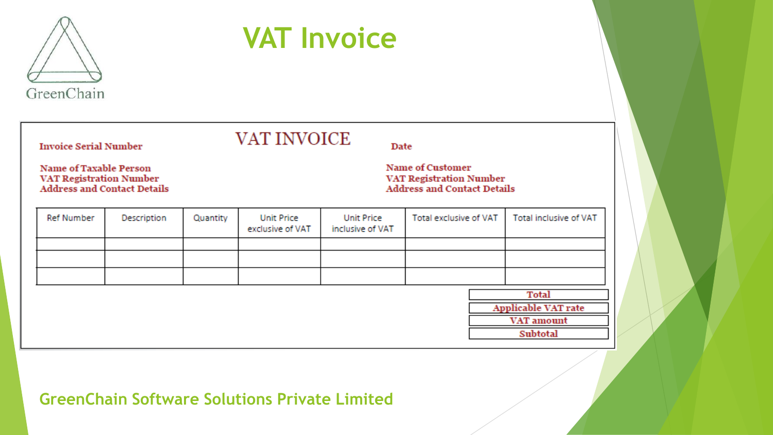

# **VAT Invoice**

**Invoice Serial Number** 

VAT INVOICE

Date

**Name of Taxable Person** VAT Registration Number<br>Address and Contact Details **Name of Customer** VAT Registration Number **Address and Contact Details** 

| Ref Number | Description                | Quantity | <b>Unit Price</b><br>exclusive of VAT | <b>Unit Price</b><br>inclusive of VAT | Total exclusive of VAT |            | Total inclusive of VAT |  |  |
|------------|----------------------------|----------|---------------------------------------|---------------------------------------|------------------------|------------|------------------------|--|--|
|            |                            |          |                                       |                                       |                        |            |                        |  |  |
|            |                            |          |                                       |                                       |                        |            |                        |  |  |
|            |                            |          |                                       |                                       |                        |            |                        |  |  |
|            |                            |          |                                       |                                       |                        |            |                        |  |  |
|            | <b>Applicable VAT rate</b> |          |                                       |                                       |                        |            |                        |  |  |
|            |                            |          |                                       |                                       |                        | VAT amount |                        |  |  |
|            |                            |          |                                       |                                       |                        |            | Subtotal               |  |  |